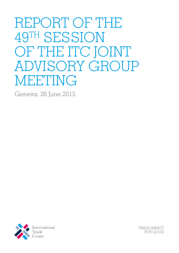# REPORT OF THE 49TH SESSION OF THE ITC JOINT Advisory Group MEETING

Geneva, 26 June 2015



TRADE IMPACT FOR GOOD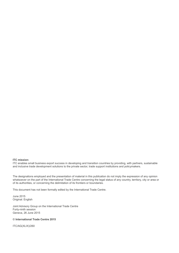#### **ITC mission:**

ITC enables small business export success in developing and transition countries by providing, with partners, sustainable and inclusive trade development solutions to the private sector, trade support institutions and policymakers.

The designations employed and the presentation of material in this publication do not imply the expression of any opinion whatsoever on the part of the International Trade Centre concerning the legal status of any country, territory, city or area or of its authorities, or concerning the delimitation of its frontiers or boundaries.

This document has not been formally edited by the International Trade Centre.

June 2015 Original: English

Joint Advisory Group on the International Trade Centre Forty-ninth session Geneva, 26 June 2015

#### © **International Trade Centre 2015**

ITC/AG(XLIX)/260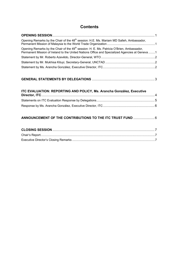# **Contents**

| Opening Remarks by the Chair of the 48 <sup>th</sup> session: H.E. Ms. Mariam MD Salleh, Ambassador,                                                                                                    |  |
|---------------------------------------------------------------------------------------------------------------------------------------------------------------------------------------------------------|--|
| Opening Remarks by the Chair of the 49 <sup>th</sup> session: H. E. Ms. Patricia O'Brien, Ambassador,<br>Permanent Mission of Ireland to the United Nations Office and Specialized Agencies at Geneva 1 |  |
|                                                                                                                                                                                                         |  |
|                                                                                                                                                                                                         |  |
|                                                                                                                                                                                                         |  |
|                                                                                                                                                                                                         |  |

# **GENERAL STATEMENTS BY DELEGATIONS** .................................................................... 3

## **ITC EVALUATION: REPORTING AND POLICY, Ms. Arancha González, Executive**

## **ANNOUNCEMENT OF THE CONTRIBUTIONS TO THE ITC TRUST FUND** ....................... 6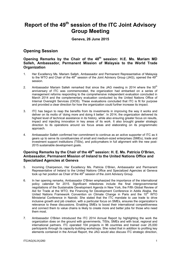# **Report of the 49th session of the ITC Joint Advisory Group Meeting**

#### **Geneva, 26 June 2015**

# **Opening Session**

#### **Opening Remarks by the Chair of the 48th session: H.E. Ms. Mariam MD Salleh, Ambassador, Permanent Mission of Malaysia to the World Trade Organization**

- 1. Her Excellency Ms. Mariam Salleh, Ambassador and Permanent Representative of Malaysia to the WTO and Chair of the 48<sup>th</sup> session of the Joint Advisory Group (JAG), opened the 49<sup>th</sup> session.
- 2. Ambassador Mariam Salleh remarked that since the JAG meeting in 2014 where the  $50<sup>th</sup>$ anniversary of ITC was commemorated, the organization had embarked on a series of management reforms responding to the comprehensive independent evaluation concluded in March 2014 and the complementary evaluation conducted by the United Nations Office of Internal Oversight Services (OIOS). These evaluations concluded that ITC is fit for purpose and provided a clear direction for how the organization could further increase its impact.
- 3. ITC has begun to reap the benefits from its investments in improving the way it works and deliver on its motto of 'doing more and doing it better'. In 2014, the organization delivered its highest level of technical assistance in its history, while also ensuring greater focus on results, impact and injecting innovation in key areas of its work. It also brought greater strategic direction to its operations around six focus areas and elaborating on its programmatic approach.
- 4. Ambassador Salleh confirmed her commitment to continue as an active supporter of ITC as it gears up to serve its constituencies of small and medium-sized enterprises (SMEs), trade and investment support institutions (TISIs), and policymakers in full alignment with the new post-2015 sustainable development goals.

#### Opening Remarks by the Chair of the 49<sup>th</sup> session: H. E. Ms. Patricia O'Brien, **Ambassador, Permanent Mission of Ireland to the United Nations Office and Specialized Agencies at Geneva**

- 5. Incoming Chairperson, Her Excellency Ms. Patricia O'Brien, Ambassador and Permanent Representative of Ireland to the United Nations Office and Specialized Agencies at Geneva took up her position as Chair of the 49<sup>th</sup> session of the Joint Advisory Group.
- 6. In her opening remarks, Ambassador O'Brien emphasized the importance of the international policy calendar for 2015. Significant milestones include the final intergovernmental negotiations of the Sustainable Development Agenda in New York, the Fifth Global Review of Aid for Trade at the WTO, the Financing for Development Conference in Addis Ababa, the United Nations Framework Convention on Climate Change in Paris and the 10<sup>th</sup> WTO Ministerial Conference in Nairobi. She stated that the ITC mandate to use trade to drive inclusive growth and job creation, with a particular focus on SMEs, ensures the organization's relevance to these discussions. Enabling SMEs to boost their international competitiveness and connect them to value chains is likely to create more and better jobs for those who need them most.
- 7. Ambassador O'Brien introduced the ITC 2014 Annual Report by highlighting the work the organization does on the ground with governments, TISIs, SMEs and with local, regional and international partners. ITC operated 104 projects in 96 countries and trained over 25,000 participants through its capacity-building workshops. She noted that in addition to profiling key elements contained in the Annual Report, the JAG would also discuss ITC strategic direction,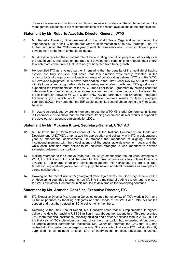discuss the evaluation function within ITC and receive an update on the implementation of the management response to the recommendations of the recent evaluations of the organization.

#### **Statement by Mr. Roberto Azevêdo, Director-General, WTO**

- 8. Mr. Roberto Azevêdo, Director-General of the World Trade Organization recognized the importance of 2015 for ITC as the first year of implementation of its new Strategic Plan. He further recognized that 2015 was a year of multiple milestones which would continue to place development at the heart of the global debate.
- 9. Mr. Azevêdo recalled the important role of trade in lifting one billion people out of poverty over the last 25 years, and called on the trade and development community to redouble their efforts to reach more communities that have not yet benefited from trade growth.
- 10. He identified ITC as a valued partner in ensuring that the benefits of the multilateral trading system are truly inclusive and noted that this direction was clearly reflected in the organization's strategic plan. In identifying areas of collaboration between ITC and the WTO, Mr. Azevêdo highlighted ITC's active participation in the Fifth Global Review of Aid for Trade with its focus on reducing trade costs for inclusive, sustainable growth; and ITC's good work in supporting the implementation of the WTO Trade Facilitation Agreement by helping countries categorize their commitments, raise awareness and support capacity-building. He also cited the collaboration between WTO, ITC and UNCTAD as partners of the Enhanced Integrated Framework (EIF), which would continue to deliver concrete results for least developed countries (LDCs). He noted that the EIF would launch its second phase during the Fifth Global Review.
- 11. Mr. Azevêdo concluded by urging members to use the WTO Ministerial Conference in Nairobi in December 2015 to show that the multilateral trading system can deliver results in support of the development agenda, particularly for LDCs.

#### **Statement by Mr. Mukhisa Kituyi, Secretary-General, UNCTAD**

- 12. Mr. Mukhisa Kituyi, Secretary-General of the United Nations Conference on Trade and Development (UNCTAD), emphasized his appreciation and solidarity with ITC in celebrating a year of phenomenal achievements. He stressed the importance of aligning individual institutional planning with the global agenda of the sustainable development goals and that while each institution must deliver to its individual strengths, it was important to develop synergies between organizations.
- 13. Making reference to the Geneva trade hub, Mr. Kituyi emphasized the individual strengths of WTO, UNCTAD and ITC, and the need for the three organizations to continue to ensure synergy on the shared trade and development agenda. He highlighted the areas of trade facilitation, regional integration, tourism supply chains and non-tariff measures as examples of strong collaboration.
- 14. Drawing on the recent rise of mega-regional trade agreements, the Secretary-General called on developing countries to breathe new life into the multilateral trading system and to ensure the WTO Ministerial Conference in Nairobi led to deliverables for developing countries.

#### **Statement by Ms. Arancha González, Executive Director, ITC**

- 15. ITC Executive Director Ms. Arancha González opened her overview of ITC's work in 2014 and its future priorities by thanking delegates and the Heads of the WTO and UNCTAD for the support and trust they placed in ITC to deliver to its members.
- 16. Referring to the 2014 Annual Report, Ms. González noted that ITC implemented its highest delivery to date by reaching US\$ 53 million in extrabudgetary expenditure. This represented 35% more technical assistance, capacity building and advisory services than in 2013. 2014 is the first year of ITC's biennium plan, and since the organization had exceeded all but one of its targets against performance indicators, Ms. González informed the JAG that ITC had revised all of its performance targets upwards. She also noted that since ITC had significantly surpassed its commitment to focus 60% of interventions on least developed countries,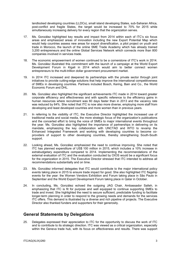landlocked developing countries (LLDCs), small island developing States, sub-Saharan Africa, post-conflict and fragile States, the target would be increased to 70% for 2015 while simultaneously increasing delivery for every region that the organization serves.

- 17. Ms. González highlighted key results and impact from 2014 within each of ITC's six focus areas and emphasized areas of innovation including the new Export Potential Map which would help countries assess new areas for export diversification, a pilot project on youth and trade in Morocco, the launch of the online SME Trade Academy which has already trained 3,200 entrepreneurs and the online Global Services Network which connects more than 800 companies involved in services trade.
- 18. The economic empowerment of women continued to be a cornerstone of ITC's work in 2014. Ms. González illustrated this commitment with the launch of a campaign at the World Export Development Forum in Kigali in 2014 which would aim to better connect women entrepreneurs to the multi-trillion dollar government procurement market.
- 19. In 2014 ITC increased and deepened its partnerships with the private sector through joint initiatives to provide cutting-edge solutions that help improve the international competitiveness of SMEs in developing countries. Partners included Bosch, Kering, Bain and Co., the World Economic Forum and DHL.
- 20. Ms. González also highlighted the significant achievements ITC made in 2014 toward greater corporate efficiency and effectiveness and with specific reference to the efficiency gains in human resources where recruitment was 60 days faster than in 2013 and the vacancy rate was reduced by 64%. She noted that ITC is now also more diverse, employing more staff from developing and least developed countries and more women than in previous years.
- 21. In referring to the visibility of ITC, the Executive Director highlighted the increased use of traditional media and social media, the more strategic focus of the organization's publications and the concerted effort to bring the voice of SMEs to major international events throughout the year. Ms. González also highlighted the importance of partnerships in delivering on its mandate, emphasizing the key collaboration with UNCTAD and WTO to revamp the Enhanced Integrated Framework and working with developing countries to become coproviders of support to other developing countries, thereby strengthening South-South support.
- 22. Looking ahead, Ms. González emphasized the need to continue improving. She noted that ITC has planned expenditure of US\$ 100 million in 2015, which includes a 10% increase in extrabudgetary expenditure compared to 2014. Implementing the recommendations of the external evaluation of ITC and the evaluation conducted by OIOS would be a significant focus for the organization in 2015. The Executive Director stressed that ITC intended to address all recommendations substantially and on time.
- 23. Ms. González informed delegates that ITC would contribute to the major international policy events taking place in 2015 to ensure trade impact for good. She also highlighted ITC flagship events for the year: the Women Vendors Exhibition and Forum taking place in São Paulo in September and the World Export Development Forum taking place in Qatar in October.
- 24. In concluding, Ms. González echoed the outgoing JAG Chair, Ambassador Salleh, in emphasizing that ITC is fit for purpose and well equipped to continue supporting SMEs to trade and invest. She highlighted the need to secure sufficient, predictable funding to facilitate longer-term planning in order to respond to the growing needs and demands for the services ITC offers. This demand is illustrated by a diverse and rich pipeline of projects. The Executive Director also thanked funders and supporters for their generosity.

# **General Statements by Delegations**

25. Delegates expressed their appreciation to ITC for the opportunity to discuss the work of ITC and to contribute to its strategic direction. ITC was viewed as a critical organization, especially within the Geneva trade hub, with its focus on effectiveness and results. There was support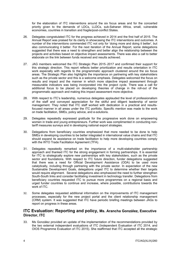for the elaboration of ITC interventions around the six focus areas and for the concerted priority given to the demands of LDCs, LLDCs, sub-Saharan Africa, small, vulnerable economies, countries in transition and fragile/post-conflict States.

- 26. Delegates congratulated ITC for the progress achieved in 2014 and the first half of 2015. The Annual Report was praised for its clarity in showcasing the ITC interventions and outcomes. A number of the interventions commended ITC not only for 'doing more and doing it better', but also communicating it better. For the next iteration of the Annual Report, some delegations suggested that there was a need to strengthen and better align the relationship between the projects and activities based on objective impact assessments. There was also a call to better elaborate on the link between funds received and results achieved.
- 27. JAG members welcomed the ITC Strategic Plan 2015–2017 and confirmed their support for this strategic direction. This report reflects better prioritization and results orientation in ITC work especially with regards to the programmatic approach clustered around the six focus areas. The Strategic Plan also highlights the importance on partnering with key stakeholders such as the private sector and this is a welcome emphasis. Delegates welcomed the focus on results and impact and the manner in which more objective impact assessment through measurable indicators was being incorporated into the project cycle. There was a call for additional focus to be placed on developing theories of change in the roll-out of the programmatic approach and making this impact assessment more objective.
- 28. With respect to ITC's leadership, numerous delegates applauded the level of professionalism of the staff and conveyed appreciation for the skilful and diligent leadership of senior management. They noted that ITC staff worked with dedication in a practical and resultsfocused manner in all areas under the ITC portfolio. Specific mention was made to the work on trade facilitation, SMEs, policy advice, and e-solutions.
- 29. Delegates repeatedly expressed gratitude for the progressive work done on empowering women in trade and young entrepreneurs. Further work was complimented in conducting nontariff measures surveys and in developing national export strategies.
- 30. Delegations from beneficiary countries emphasized that more needed to be done to help SMEs in developing countries to be better integrated in international value chains and that ITC should expand its assistance on trade facilitation to help more developing countries comply with the WTO Trade Facilitation Agreement (TFA).
- 31. Delegates repeatedly remarked on the importance of a multi-stakeholder partnership approach and thanked ITC for the strong engagement in forming partnerships. It is essential for ITC to strategically explore new partnerships with key stakeholders, such as the private sector and foundations. With respect to ITC future direction, funder delegations suggested that there was a need for Official Development Assistance (ODA) to be used more catalytically, including through partnering with the private sector. In expectation of the new Sustainable Development Goals, delegations urged ITC to determine whether their targets would require alignment. Several delegations also emphasized the need to further strengthen South-South links and consider facilitating investment in technology transfer. Delegations from beneficiary countries requested ITC to pursue more programmes on a regional basis and urged funder countries to continue and increase, where possible, contributions towards the work of ITC.
- 32. Some delegates requested additional information on the improvements of ITC management processes, especially for the new project portal and the client relationship management (CRM) system. It was suggested that ITC have periodic briefing meetings between JAGs to report on progress in these areas.

#### **ITC Evaluation: Reporting and policy, Ms. Arancha González, Executive Director, ITC**

33. Ms González provided an update of the implementation of the recommendations provided by the two external independent evaluations of ITC (Independent Evaluation of ITC 2014, and OIOS Programme Evaluation of ITC 2015). She reaffirmed that ITC accepted all the strategic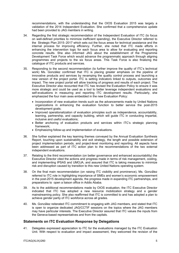recommendations, with the understanding that the OIOS Evaluation 2015 was largely a validation of the 2014 Independent Evaluation. She confirmed that a comprehensive update had been provided to JAG members in writing.

- 34. Regarding the first strategic recommendation of the Independent Evaluation of ITC (to focus on well-defined priorities to minimize inefficient spending), the Executive Director referred to the Strategic Plan 2015-2017 which sets out the focus areas for technical assistance and the internal process for improving efficiency. Further, she noted that ITC made efforts in enhancing the intervention logic for each focus area to allow for evaluating and reporting concrete results. She also informed JAG about the establishment of the Programme Development Task Force which would advance the programmatic approach through aligning programmes and projects to the six focus areas. This Task Force is also finalizing the catalogue of ITC products and services.
- 35. Responding to the second recommendation (to further improve the quality of ITC's technical work) Ms. González confirmed that ITC is placing greater emphasis on the pipeline of innovative products and services by revamping the quality control process and launching a new version of the project portal. ITC is setting indicators linked to outputs, outcomes and impact. The new project portal will allow tracking of progress and results of each project. The Executive Director also recounted that ITC has revised the Evaluation Policy to ensure it was more strategic and could be used as a tool to better leverage independent evaluations and self-evaluations in measuring and reporting ITC development results. Particularly, she emphasized the four main axes embedded in the new Evaluation Policy:
	- Incorporation of new evaluation trends such as the advancements made by United Nations organizations in enhancing the evaluation function to better service the post-2015 development goals;
	- Improved operationalization of evaluation principles such as independence, accountability, learning, partnership, and capacity building, which will guide ITC in conducting impartial, inclusive and useful evaluations;
	- Better anchoring of evaluation products and services within ITC's strategic planning framework;
	- Emphasizing follow-up and implementation of evaluations.
- 36. She further explained the key learning themes conveyed by the Annual Evaluation Synthesis Report, touching upon sustainability and exit strategy, the length and possible extension of project implementation periods, and project-level monitoring and reporting. All aspects have been addressed as part of ITC action plan to the recommendations of the two external independent evaluations.
- 37. Relating to the third recommendation (on better governance and enhanced accountability) the Executive Director cited the actions and progress made in terms of risk management, costing, and implementing IPSAS and UMOJA, and assured that ITC is taking measures to minimize risk and disruption caused by transition to this new United Nations operating system.
- 38. On the final main recommendation (on raising ITC visibility and prominence), Ms. González referred to ITC role in highlighting importance of SMEs and women's economic empowerment in the post-2015 development agenda, the progress made in expanding ITC partnerships, and preparations to open a liaison office in Addis Ababa.
- 39. As to the additional recommendations made by OIOS evaluation, the ITC Executive Director indicated that ITC has adopted a new resource mobilization strategy and a gender mainstreaming policy. She also reaffirmed that ITC is committed to and has adopted a plan to achieve gender parity of ITC workforce across all grades.
- 40. Ms. González reiterated ITC commitment to engaging with JAG members, and stated that ITC is open to organize dedicated JAG/CCTIF sessions on the topics where the JAG members may have particular interests. The Executive Director assured that ITC values the inputs from the Geneva-based representatives and from the capitals.

#### **Statements on ITC Evaluation Response by Delegations**

41. Delegates expressed appreciation to ITC for the evaluations managed by the ITC Evaluation Unit. With respect to evaluation and impact assessment, they welcomed the revision of the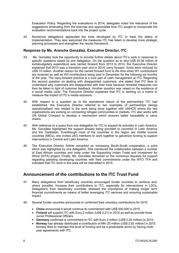Evaluation Policy. Regarding the evaluations in 2014, delegates noted the relevance of the suggestions emanating from the exercise and appreciated how ITC sought to incorporate the evaluation recommendations back into the project cycle.

42. Numerous delegations applauded the tools developed by ITC to track the status of implementation. They also welcomed the measures ITC has taken to develop more strategic planning processes and strengthen the results framework.

#### **Response by Ms. Arancha González, Executive Director, ITC**

- 43. Ms. González took the opportunity to provide further details about ITC's work in response to specific questions raised by one delegation. On the question as to why US\$ 35.06 million of extrabudgetary expenditure was carried forward from 2013 to 2014, the Executive Director explained that 2013 was a transition year and in 2014, carry forward funds were reduced by US\$ 10 million. Another reason for the carried forward fund is the time when W1 contributions are received as well as W2 contributions being paid in December for the following six months of the year. The carry-forward practice is a core part of cash management at ITC. Regarding the second question on dealing with disappointed customers, she stated that ITC likes to understand why customers are disappointed with their tools because remedial measures can then be taken in light of customer feedback. Another question was raised on the existence of a social media code. The Executive Director explained that ITC is working on a matrix to measure the impact of ITC's media exposure.
- 44. With respect to a question as to the operational nature of the partnerships ITC had established, the Executive Director referred to two examples of partnerships beings operationalised: one related to the work being done together with UNHCR where the two organizations are working on connecting refugee communities to markets. ITC also works with UN Global Compact to develop a mechanism which ensures better traceability in value chains.
- 45. With reference to a query from one delegation for ITC to expand its activities in Latin America, Ms. González highlighted the support already being provided to countries in Latin America and the Caribbean. Eventhough most of the countries in the region are middle income countries (MICs), she invited JAG members to work together to galvanize funding to support interventions in Central and Latin America.
- 46. The Executive Director further remarked on increasing South-South cooperation, a point which was highlighted by one delegation. She mentioned the collaboration between a number of East African countries and India under the Supporting Indian Trade and Investment for Africa (SITA) project. Finally, Ms. González remarked on the numerous requests for support regarding assisting developing countries with their commitments under the WTO TFA and indicated that ITC work in this area will be intensified in 2015.

# **Announcement of the contributions to the ITC Trust Fund**

- 47. Many delegations from beneficiary countries encouraged funder countries to continue and, where possible, increase their contributions to ITC, especially for interventions in LDCs. Delegations from beneficiary countries stressed the importance of making longer term financial commitments as means of better leveraging ITC services and ensuring sustainable impact.
- 48. Several funder countries announced or confirmed their voluntary contributions for 2015:
	- **China** announced it would continue its commitment with US\$ 500,000 in 2015.
	- **Finland** will support ITC with Euro 2 million (US\$ 2.21) in 2015 as well as provide three Junior Professional Officers.
	- **Germany** confirmed is commitment to ITC with Euro 2 million (US\$ 2.35 million) in 2015.
	- **Norway** has already distributed a contribution of NKr 20 million (US\$ 2.62 million) in 2015. Norway likes to maintain this level of funding and be a predictable donor by having multiyear agreements with ITC.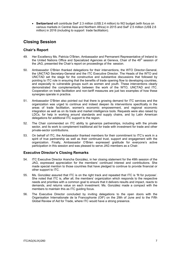**Switzerland** will contribute SwF 2.3 million (US\$ 2.4 million) to W2 budget (with focus on various markets in Central Asia and Northern Africa) in 2015 and SwF 2.5 million (US\$ 2.6 million) in 2016 (including to support trade facilitation).

# **Closing Session**

#### **Chair's Report**

- 49. Her Excellency Ms. Patricia O'Brien, Ambassador and Permanent Representative of Ireland to the United Nations Office and Specialized Agencies at Geneva, Chair of the 49<sup>th</sup> session of the JAG, presented the Chair's report on proceedings of the session.
- 50. Ambassador O'Brien thanked delegations for their interventions, the WTO Director-General, the UNCTAD Secretary-General and the ITC Executive Director. The Heads of the WTO and UNCTAD set the stage for the constructive and substantive discussions that followed by pointing to ITC role in ensuring that the benefits of trade opening flow to developing countries, and especially to vulnerable groups such as women and youth. These interventions clearly demonstrated the complementarity between the work of the WTO, UNCTAD and ITC. Cooperation on trade facilitation and non-tariff measures are just two examples of how these synergies operate in practice.
- 51. Ambassador O'Brien also pointed out that there is growing demand for ITC services and the organization was urged to continue and indeed deepen its interventions specifically in the areas of trade facilitation, women's economic empowerment, and regional economic integration as well as on its trade and market intelligence tools. Requests were also raised by LDCs, for help in working around standards and supply chains, and by Latin American delegations for additional ITC support to the region.
- 52. The Chair commended on ITC ability to galvanize partnerships, including with the private sector, and its work to complement traditional aid for trade with investment for trade and other private-sector contributions.
- 53. On behalf of ITC, the Ambassador thanked members for their commitment to ITC's work in a spirit of true partnership as well as their continued trust, support and engagement with the organization. Finally, Ambassador O'Brien expressed gratitude for everyone's active participation in this session and was pleased to serve JAG members as a Chair.

#### **Executive Director's Closing Remarks**

- 54. ITC Executive Director Arancha González, in her closing statement for the 49th session of the JAG, expressed appreciation for the members' continued interest and contributions. She made special mention to those countries that have pledged to continue to provide financial or other support to ITC.
- 55. Ms. González assured that ITC is on the right track and repeated that ITC is 'fit for purpose'. She noted that ITC is, after all, the members' organization which responds to the respective needs and priorities with a common goal to ensure that it delivers results and impact, reacts to demands, and returns value on each investment. Ms. González made a compact with the members to maintain this as ITC guiding focus.
- 56. The Executive Director concluded by inviting delegations to the open doors with the Organisation Internationale de la Francophonie (OIF) on the 29th of June and to the Fifth Global Review of Aid for Trade, where ITC would have a strong presence.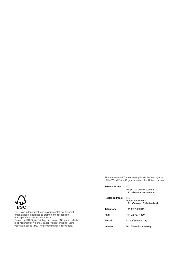The International Trade Centre (ITC) is the joint agency of the World Trade Organization and the United Nations.

| <b>Street address:</b> | ITC.<br>54-56, rue de Montbrillant<br>1202 Geneva, Switzerland  |
|------------------------|-----------------------------------------------------------------|
| Postal address:        | <b>ITC</b><br>Palais des Nations<br>1211 Geneva 10, Switzerland |
| Telephone:             | +41-22 730 0111                                                 |
| Fax:                   | +41-22 733 4439                                                 |
| E-mail:                | itcreg@intracen.org                                             |
| Internet:              | http://www.intracen.org                                         |



FSC is an independent, non-governmental, not for profit organization established to promote the responsible management of the world´s forests. Printed by ITC Digital Printing Service on FSC paper, which

is environmentally-friendly paper (without chlorine) using vegetable-based inks. The printed matter is recyclable.